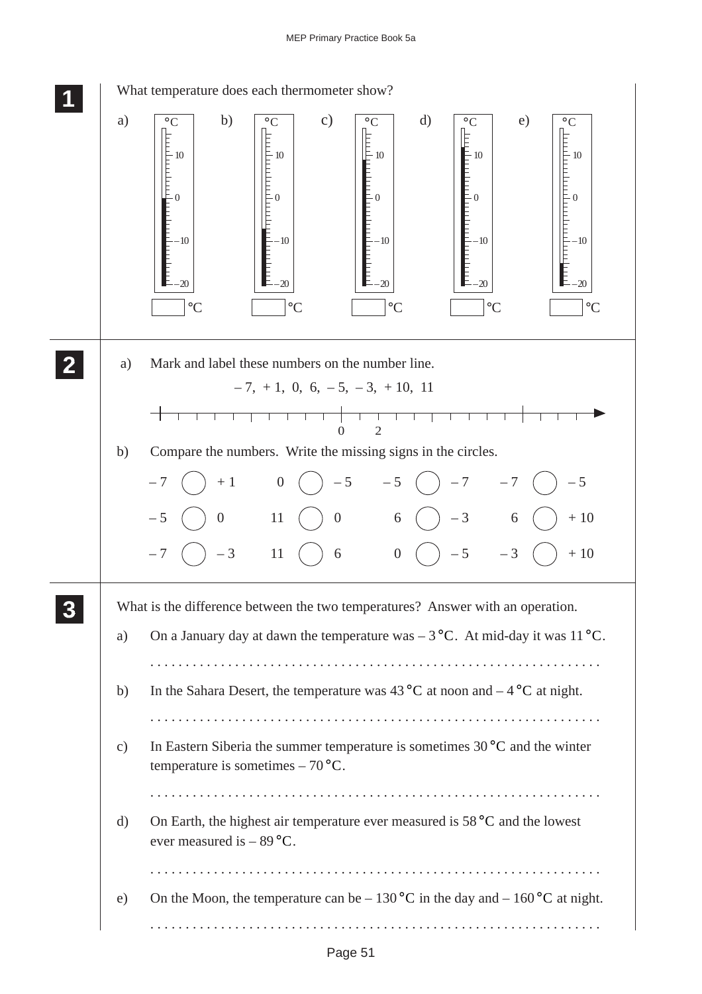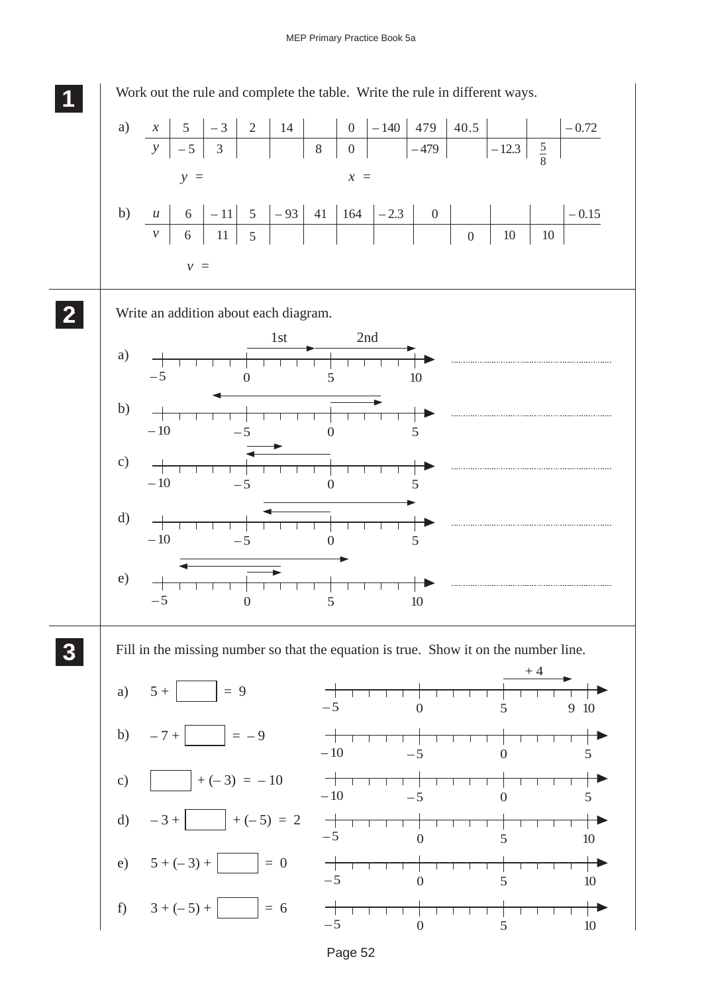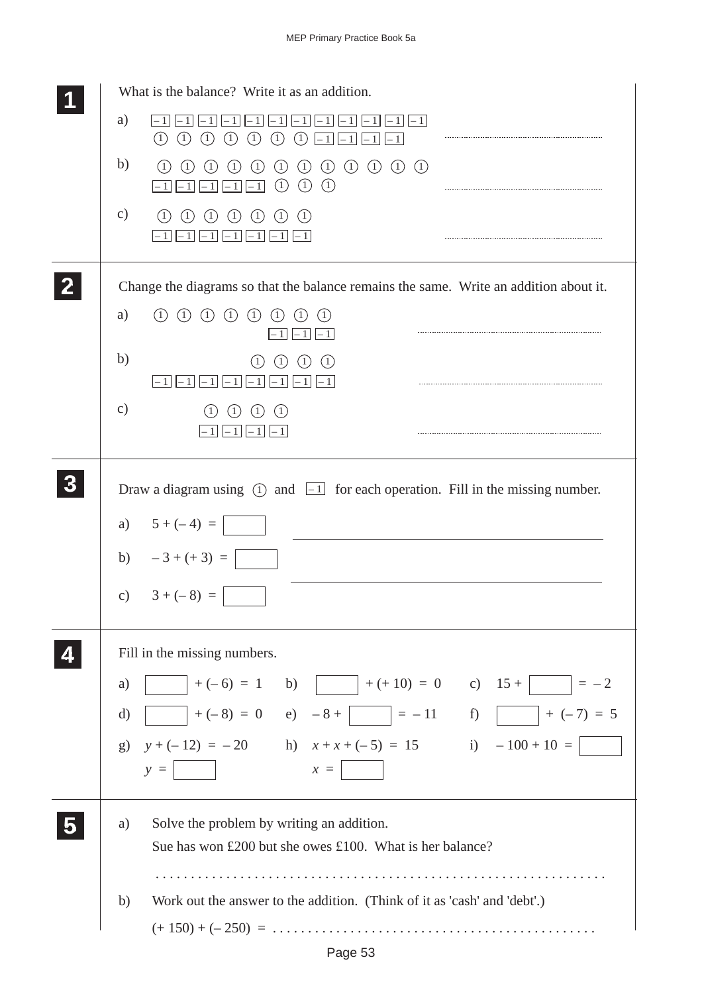| What is the balance? Write it as an addition.                                                                                                                                                                                                                                                             |
|-----------------------------------------------------------------------------------------------------------------------------------------------------------------------------------------------------------------------------------------------------------------------------------------------------------|
| a)<br>$\left(1\right)$<br>(1)<br>(1)<br>(1)<br>(1)<br>(1)<br>(1)                                                                                                                                                                                                                                          |
| b)<br>$\circled{1}$<br>$\circled{1}$<br>$\left( \mathrm{1}\right)$<br>$\left( \begin{matrix} 1 \end{matrix} \right)$<br>$\begin{array}{c} \textcircled{1} \end{array}$<br>(1)<br>(1)<br>$\left(1\right)$<br>(1)<br>(1)<br>$\left(1\right)$<br>(1)<br>(1)<br>(1)<br>(1)<br>$\vert$<br>$-1$<br>$\mathbf{1}$ |
| $\mathbf{c})$<br>(1)<br>(1)<br>(1)<br>(1)<br>(1)<br>(1)                                                                                                                                                                                                                                                   |
| Change the diagrams so that the balance remains the same. Write an addition about it.                                                                                                                                                                                                                     |
| $\left( \begin{matrix} 1 \end{matrix} \right)$<br>(1)<br>(1)<br>(1)<br>(1)<br>a)<br>$\left(1\right)$<br>- 11                                                                                                                                                                                              |
| b)<br>(1)<br>$\left(1\right)$<br>$\mathbf{1}$<br>- 11<br>- 1                                                                                                                                                                                                                                              |
| $\mathbf{c})$<br>(1)<br>(1)<br>(1)                                                                                                                                                                                                                                                                        |
| Draw a diagram using $\circled{1}$ and $\overline{1}$ for each operation. Fill in the missing number.                                                                                                                                                                                                     |
| a) $5 + (-4) =$                                                                                                                                                                                                                                                                                           |
| b) $-3+(+3) =$                                                                                                                                                                                                                                                                                            |
| c) $3 + (-8) =$                                                                                                                                                                                                                                                                                           |
| Fill in the missing numbers.                                                                                                                                                                                                                                                                              |
| $  +(-6) = 1$ b) $  +(+10) = 0$ c) $15 +$ $  = -2$<br>a)                                                                                                                                                                                                                                                  |
| $+(-8) = 0$ e) $-8 +$ $-11$ f) $+(-7) = 5$<br>$\mathrm{d}$                                                                                                                                                                                                                                                |
| g) $y + (-12) = -20$ h) $x + x + (-5) = 15$ i) $-100 + 10 =$                                                                                                                                                                                                                                              |
| $y = \begin{bmatrix} x \\ y \end{bmatrix}$                                                                                                                                                                                                                                                                |
| Solve the problem by writing an addition.<br>a)<br>Sue has won £200 but she owes £100. What is her balance?                                                                                                                                                                                               |
|                                                                                                                                                                                                                                                                                                           |
| Work out the answer to the addition. (Think of it as 'cash' and 'debt'.)<br>b)                                                                                                                                                                                                                            |
|                                                                                                                                                                                                                                                                                                           |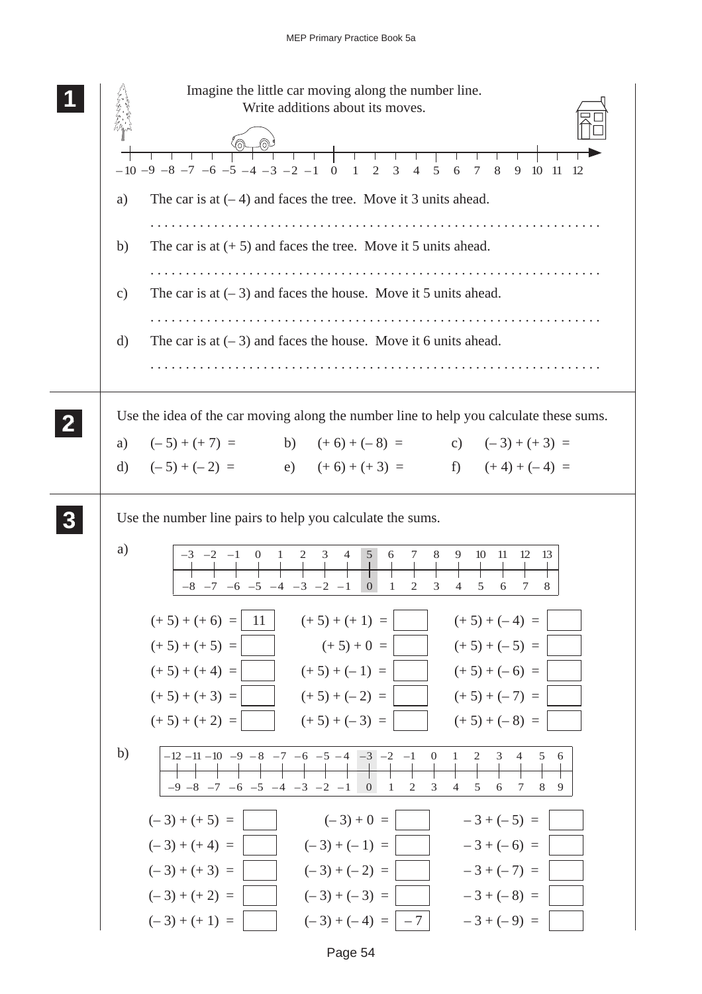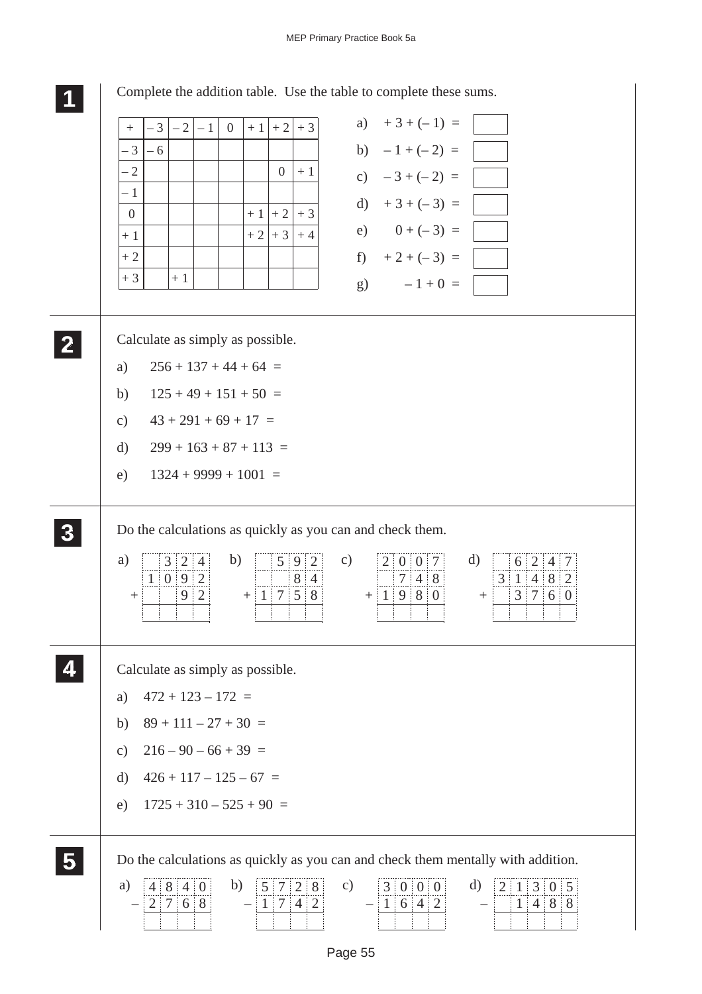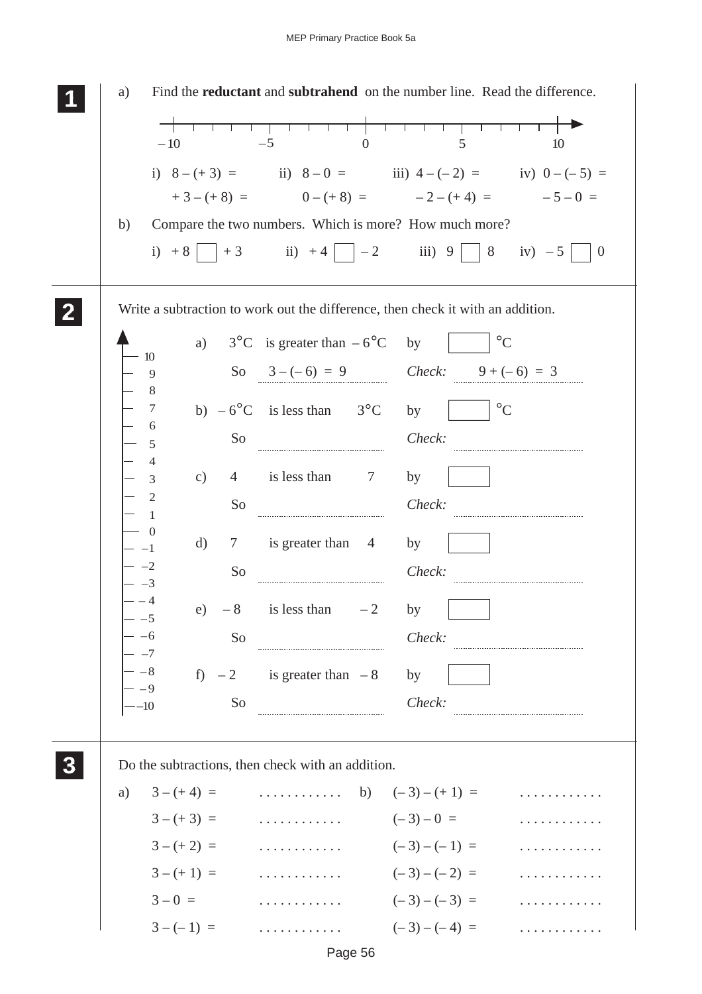|                     | $-10$         | $-5$                                                                            | $\overline{0}$ | 5             |                 | 10                                            |
|---------------------|---------------|---------------------------------------------------------------------------------|----------------|---------------|-----------------|-----------------------------------------------|
|                     |               | i) $8-(+3) =$ ii) $8-0 =$ iii) $4-(-2) =$ iv) $0-(-5) =$                        |                |               |                 |                                               |
|                     |               | $+3-(+8) = 0-(+8) = -2-(+4) = -5-0 =$                                           |                |               |                 |                                               |
| b)                  |               | Compare the two numbers. Which is more? How much more?                          |                |               |                 |                                               |
|                     |               | i) +8   +3 ii) +4   $-2$ iii) 9                                                 |                |               |                 | $\begin{vmatrix} 8 & iv & -5 \end{vmatrix}$ 0 |
|                     |               | Write a subtraction to work out the difference, then check it with an addition. |                |               |                 |                                               |
|                     |               | a) $3^{\circ}$ C is greater than $-6^{\circ}$ C                                 |                | by            | $\rm ^{\circ}C$ |                                               |
| 10<br>9             |               | So $3-(-6) = 9$ Check: $9+(-6) = 3$                                             |                |               |                 |                                               |
| 8<br>7              |               |                                                                                 |                |               | $^{\circ}C$     |                                               |
| 6                   |               | b) $-6^{\circ}$ C is less than $3^{\circ}$ C by                                 |                |               |                 |                                               |
| 5<br>4              | So            |                                                                                 |                | Check:        |                 |                                               |
| $\mathfrak{Z}$      | $\mathbf{c})$ | 4 is less than 7                                                                |                | by            |                 |                                               |
| $\overline{2}$<br>1 | So            |                                                                                 |                | Check:        |                 |                                               |
|                     | d)            | 7 is greater than 4                                                             |                | by            |                 |                                               |
|                     | So            |                                                                                 |                | Check:        |                 |                                               |
|                     |               |                                                                                 |                |               |                 |                                               |
| $-5$                | e)<br>$-8$    | is less than                                                                    | $-2$           | by            |                 |                                               |
|                     | So            |                                                                                 |                | Check:        |                 |                                               |
|                     |               | f) $-2$ is greater than $-8$                                                    |                | by            |                 |                                               |
| - -9<br>-–10        | So            |                                                                                 |                | Check:        |                 |                                               |
|                     |               |                                                                                 |                |               |                 |                                               |
|                     |               | Do the subtractions, then check with an addition.                               |                |               |                 |                                               |
|                     | a) $3-(+4) =$ | $\cdots \cdots \cdots$ b) $(-3)-(+1) =$                                         |                |               |                 |                                               |
|                     | $3-(+3) =$    | .                                                                               |                | $(-3)-0 =$    |                 |                                               |
|                     | $3-(+2) =$    | .                                                                               |                | $(-3)-(-1) =$ |                 |                                               |
|                     | $3-(+1) =$    | $(-3)-(-2) =$                                                                   |                |               |                 |                                               |
|                     | $3 - 0 =$     | .                                                                               |                | $(-3)-(-3) =$ |                 |                                               |
|                     |               | $3 - (-1) =$                                                                    |                | $(-3)-(-4) =$ |                 |                                               |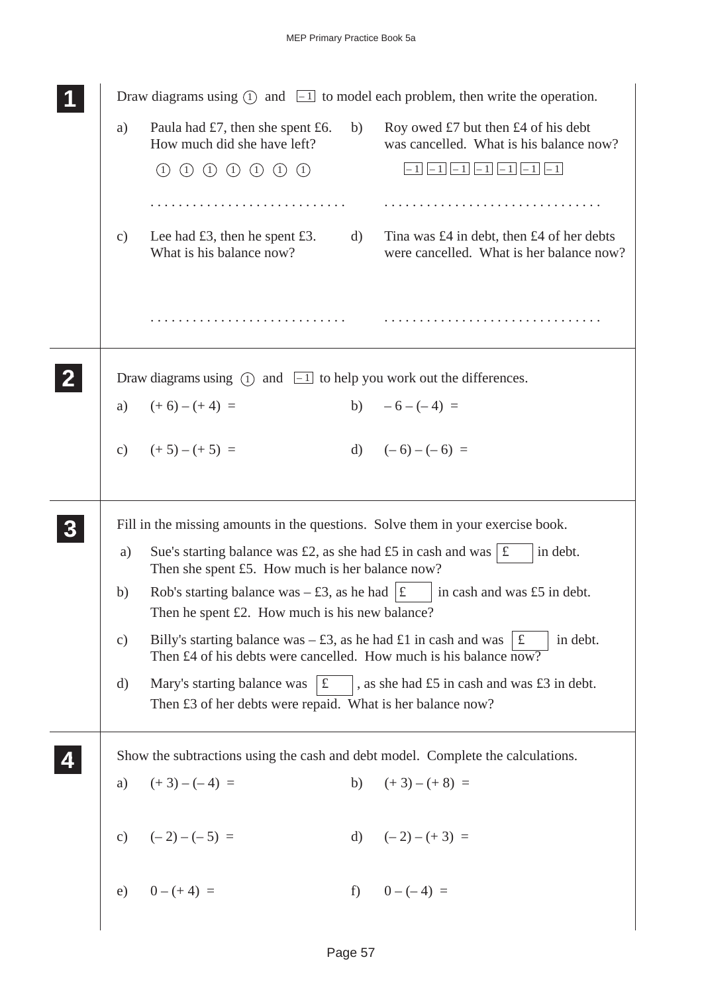|              |                 | Draw diagrams using $(1)$ and $\boxed{-1}$ to model each problem, then write the operation.                                                                                        |  |
|--------------|-----------------|------------------------------------------------------------------------------------------------------------------------------------------------------------------------------------|--|
|              | a)              | Roy owed £7 but then £4 of his debt<br>Paula had $£7$ , then she spent £6.<br>b)<br>How much did she have left?<br>was cancelled. What is his balance now?                         |  |
|              |                 | $-1$ $-1$ $-1$ $-1$ $-1$ $-1$ $-1$ $-1$<br>(1) (1) (1) (1) (1) (1)<br>(1)                                                                                                          |  |
|              |                 |                                                                                                                                                                                    |  |
|              | c)              | Lee had $£3$ , then he spent £3.<br>Tina was £4 in debt, then £4 of her debts<br>d)<br>What is his balance now?<br>were cancelled. What is her balance now?                        |  |
|              |                 |                                                                                                                                                                                    |  |
| $\mathbf{2}$ |                 | Draw diagrams using $(1)$ and $\boxed{-1}$ to help you work out the differences.                                                                                                   |  |
|              | a)              | b) $-6-(-4) =$<br>$(+6) - (+4) =$                                                                                                                                                  |  |
|              |                 | d) $(-6) - (-6) =$<br>c) $(+5)-(+5) =$                                                                                                                                             |  |
|              |                 | Fill in the missing amounts in the questions. Solve them in your exercise book.                                                                                                    |  |
|              | a)              | in debt.<br>Sue's starting balance was £2, as she had £5 in cash and was $\vert \mathbf{f} \vert$<br>Then she spent £5. How much is her balance now?                               |  |
|              | b)              | Rob's starting balance was $-\text{\pounds}3$ , as he had $ \text{\pounds} \quad $ in cash and was $\text{\pounds}5$ in debt.<br>Then he spent $£2$ . How much is his new balance? |  |
|              | $\mathcal{C}$ ) | Billy's starting balance was $- \pounds 3$ , as he had $\pounds 1$ in cash and was<br>in debt.<br>£<br>Then £4 of his debts were cancelled. How much is his balance now?           |  |
|              | d)              | Mary's starting balance was $\mathcal{E}$<br>, as she had £5 in cash and was £3 in debt.<br>Then £3 of her debts were repaid. What is her balance now?                             |  |
|              |                 | Show the subtractions using the cash and debt model. Complete the calculations.                                                                                                    |  |
|              | a)              | $(+3)-(-4) =$<br>b) $(+3)-(+8) =$                                                                                                                                                  |  |
|              |                 | c) $(-2)-(-5) =$<br>d) $(-2) - (+3) =$                                                                                                                                             |  |
|              |                 | e) $0 - (+4) =$<br>f) $0-(-4) =$                                                                                                                                                   |  |
|              |                 |                                                                                                                                                                                    |  |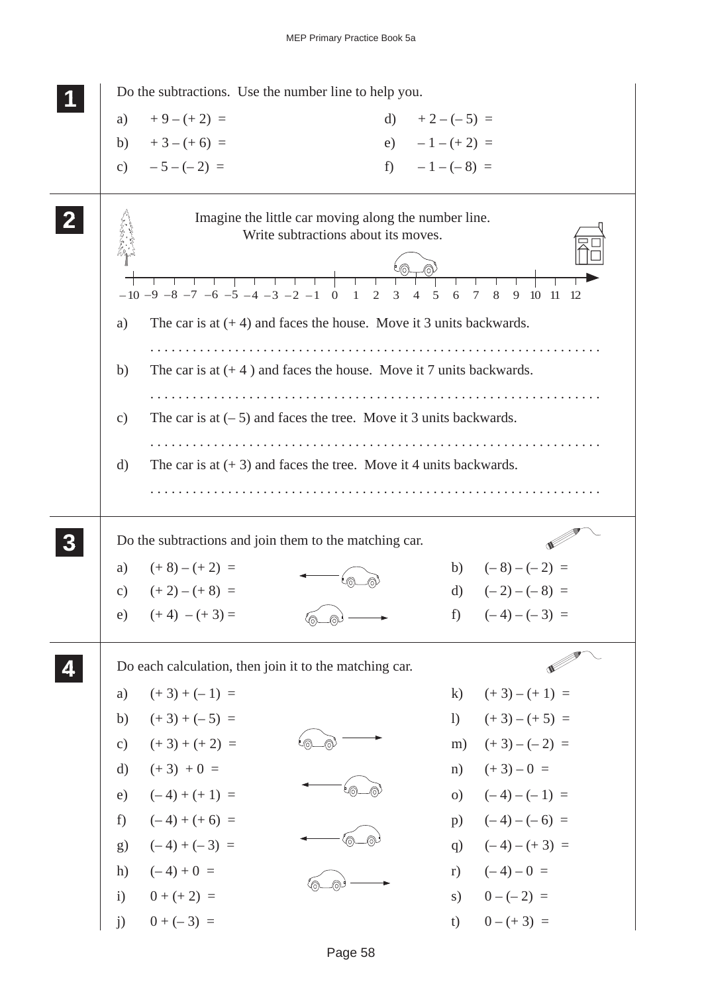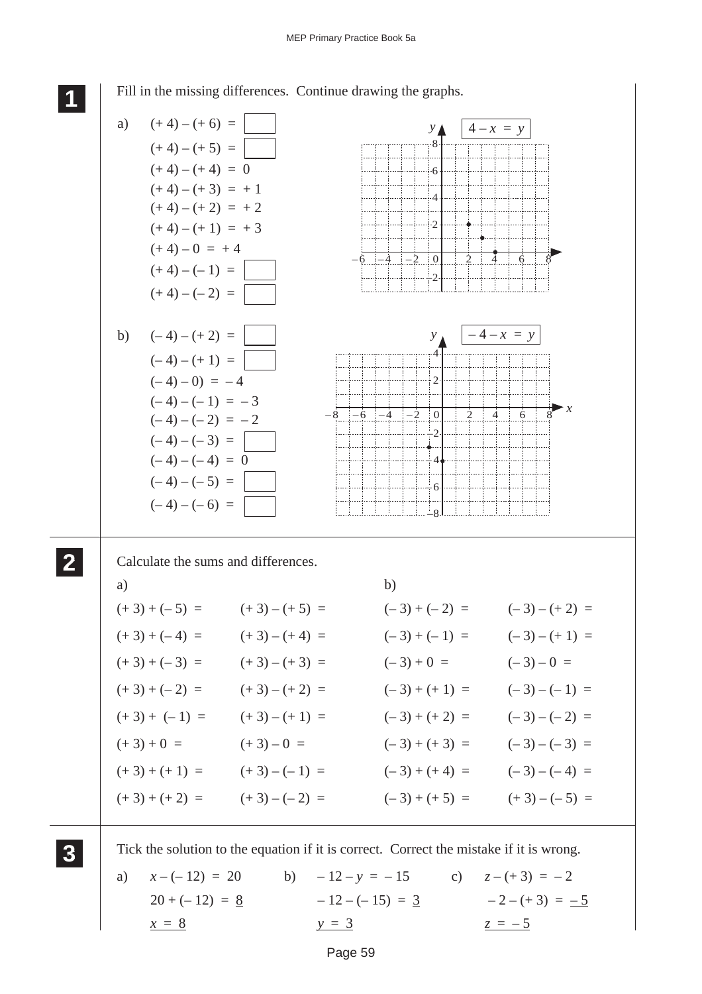

Fill in the missing differences. Continue drawing the graphs.

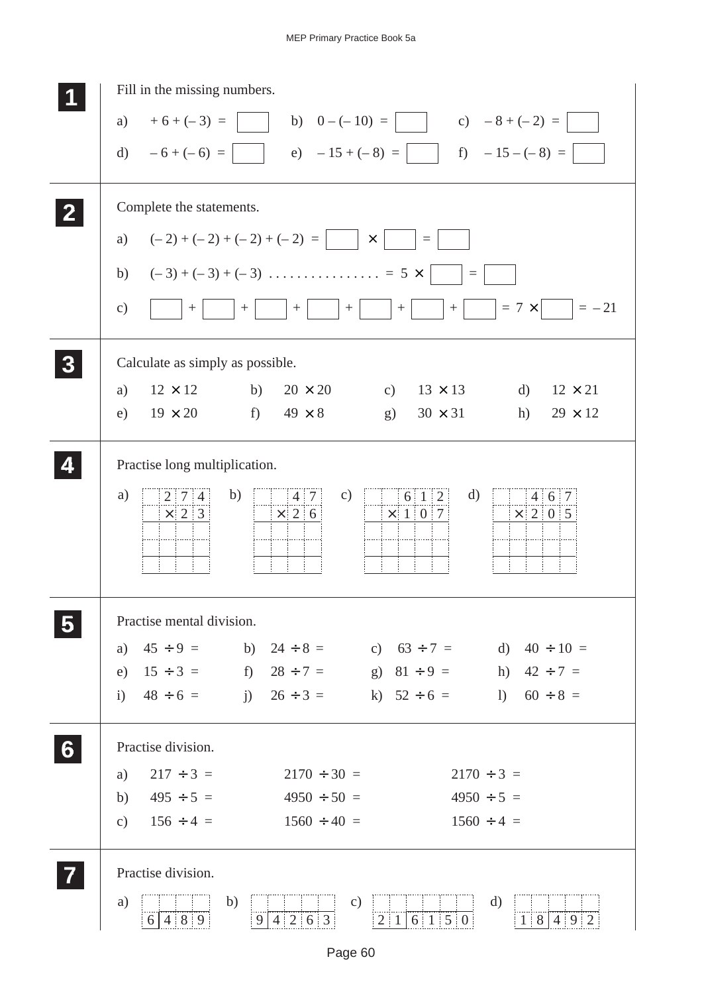## MEP Primary Practice Book 5a

|   | Fill in the missing numbers.                                                                                                                        |
|---|-----------------------------------------------------------------------------------------------------------------------------------------------------|
|   | a) $+6+(-3) =$<br>b) $0 - (-10) =$<br>c) $-8 + (-2) =$                                                                                              |
|   | e) $-15 + (-8) =$ f) $-15 - (-8) =$<br>d) $-6+(-6) =$                                                                                               |
|   |                                                                                                                                                     |
|   | Complete the statements.                                                                                                                            |
|   | $(-2) + (-2) + (-2) + (-2) =$<br>a)<br>$\times$<br>$\equiv$                                                                                         |
|   | b)<br>$\equiv$                                                                                                                                      |
|   |                                                                                                                                                     |
|   | $= 7 \times$ $= -21$<br>c)<br>$+$<br>$+$<br>$+$<br>$+$<br>$\boldsymbol{+}$<br>$+$                                                                   |
|   | Calculate as simply as possible.                                                                                                                    |
|   | $12 \times 12$<br>$20 \times 20$<br>b)<br>$13 \times 13$<br>d)<br>$12 \times 21$<br>a)<br>c)                                                        |
|   | $f$ )<br>$19 \times 20$<br>$49 \times 8$<br>$30 \times 31$<br>e)<br>g)<br>h)<br>$29 \times 12$                                                      |
|   | Practise long multiplication.                                                                                                                       |
|   |                                                                                                                                                     |
|   | a)<br>b)<br>d)<br>$\mathbf{c})$<br>6 1 2<br>4 6 7<br>$2 \mid 7 \mid 4$<br> 4 7 <br>$\times$ 2 6<br>$\times$ 1 0 7<br>$\times$ 2 0 5<br>$\times$ 2 3 |
|   |                                                                                                                                                     |
|   |                                                                                                                                                     |
|   |                                                                                                                                                     |
|   | Practise mental division.                                                                                                                           |
|   | $45 \div 9 =$ b) $24 \div 8 =$ c) $63 \div 7 =$ d) $40 \div 10 =$<br>a)                                                                             |
|   | e) $15 \div 3 =$ f) $28 \div 7 =$ g) $81 \div 9 =$<br>h) $42 \div 7 =$                                                                              |
|   | i) $48 \div 6 =$ i) $26 \div 3 =$ k) $52 \div 6 =$ 1) $60 \div 8 =$                                                                                 |
| 6 | Practise division.                                                                                                                                  |
|   | $217 \div 3 =$<br>$2170 \div 30 =$<br>$2170 \div 3 =$<br>a)                                                                                         |
|   | $495 \div 5 =$<br>$4950 \div 50 =$<br>$4950 \div 5 =$<br>b)                                                                                         |
|   | $156 \div 4 =$<br>$1560 \div 40 =$<br>$1560 \div 4 =$<br>$\mathbf{c})$                                                                              |
|   | Practise division.                                                                                                                                  |
|   | b)<br>$\mathbf{d}$<br>a)<br>$\mathbf{c})$                                                                                                           |
|   | 6 4 8 9<br>9 4 2 6 3<br>6 1 5 0<br>1 8 4 9 2<br>$2 \mid 1 \mid$                                                                                     |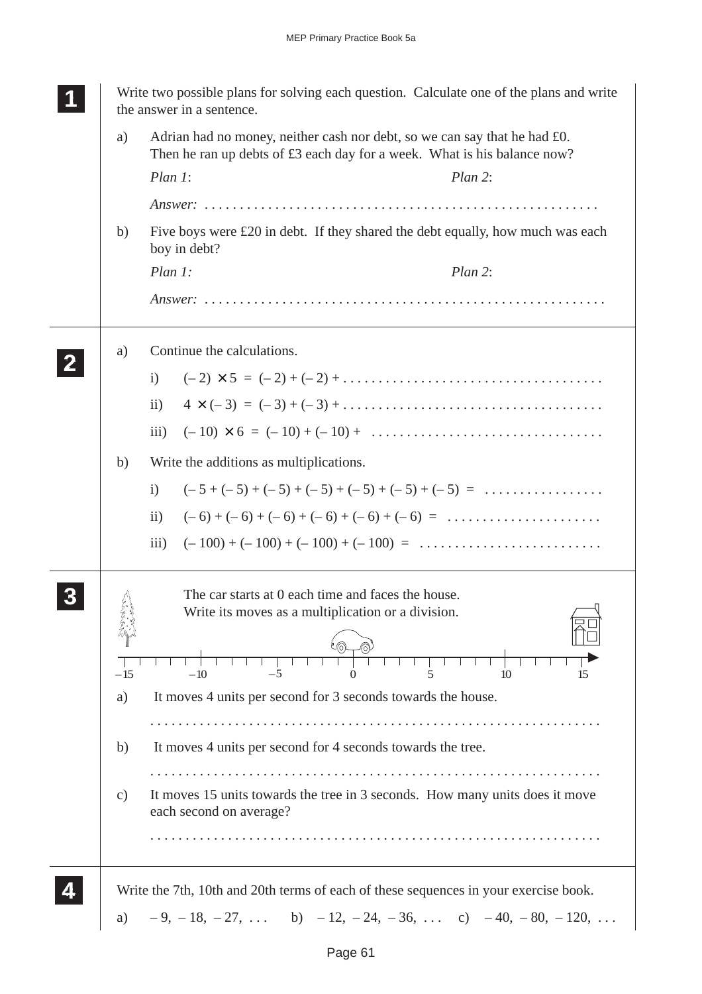|               | Write two possible plans for solving each question. Calculate one of the plans and write<br>the answer in a sentence.                                                 |
|---------------|-----------------------------------------------------------------------------------------------------------------------------------------------------------------------|
| a)            | Adrian had no money, neither cash nor debt, so we can say that he had £0.<br>Then he ran up debts of £3 each day for a week. What is his balance now?                 |
|               | Plan 1:<br>Plan 2:                                                                                                                                                    |
|               |                                                                                                                                                                       |
| b)            | Five boys were $\pounds 20$ in debt. If they shared the debt equally, how much was each<br>boy in debt?                                                               |
|               | Plan 1:<br>Plan 2:                                                                                                                                                    |
|               |                                                                                                                                                                       |
| a)            | Continue the calculations.                                                                                                                                            |
|               | $(-2) \times 5 = (-2) + (-2) + \dots + \dots + \dots + \dots + \dots$<br>$\mathbf{i}$                                                                                 |
|               | $4 \times (-3) = (-3)+(-3)+\ldots$<br>$\ddot{\mathbf{i}}$                                                                                                             |
|               | $(-10) \times 6 = (-10) + (-10) + \dots$<br>$\overline{\text{iii}}$                                                                                                   |
| b)            | Write the additions as multiplications.                                                                                                                               |
|               | $(-5 + (-5) + (-5) + (-5) + (-5) + (-5) + (-5) = \dots \dots \dots \dots$<br>$\mathbf{i}$                                                                             |
|               | $\mathbf{ii}$                                                                                                                                                         |
|               | $(-100) + (-100) + (-100) + (-100) = \dots \dots \dots \dots \dots \dots \dots \dots$<br>$\overline{iii}$ )                                                           |
| $-15$         | The car starts at 0 each time and faces the house.<br>Write its moves as a multiplication or a division.<br>$-5$<br>10<br>$-10\,$<br>5<br>$\Omega$<br>15              |
| a)            | It moves 4 units per second for 3 seconds towards the house.                                                                                                          |
|               |                                                                                                                                                                       |
| b)            | It moves 4 units per second for 4 seconds towards the tree.                                                                                                           |
| $\mathbf{c})$ | It moves 15 units towards the tree in 3 seconds. How many units does it move<br>each second on average?                                                               |
|               |                                                                                                                                                                       |
| a)            | Write the 7th, 10th and 20th terms of each of these sequences in your exercise book.<br>$-9, -18, -27, \ldots$ b) $-12, -24, -36, \ldots$ c) $-40, -80, -120, \ldots$ |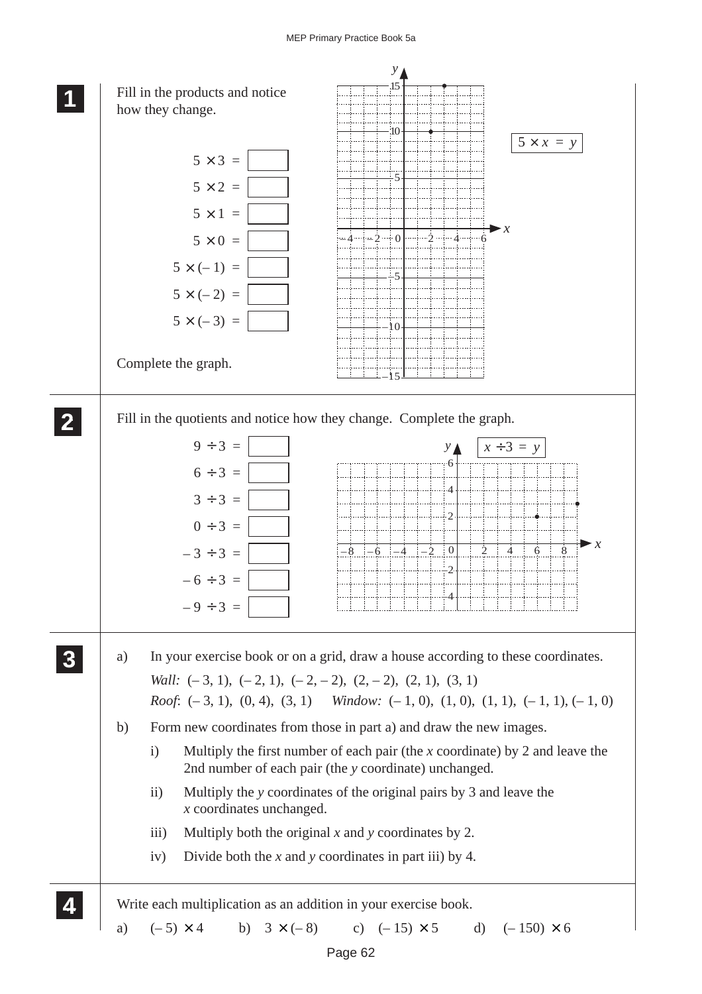## MEP Primary Practice Book 5a

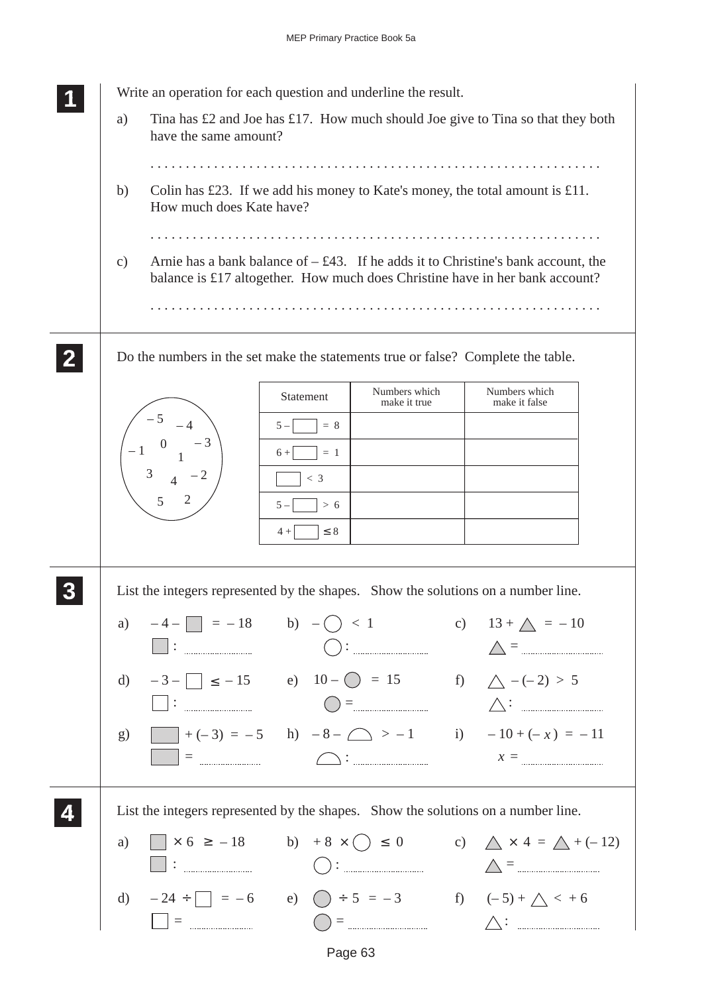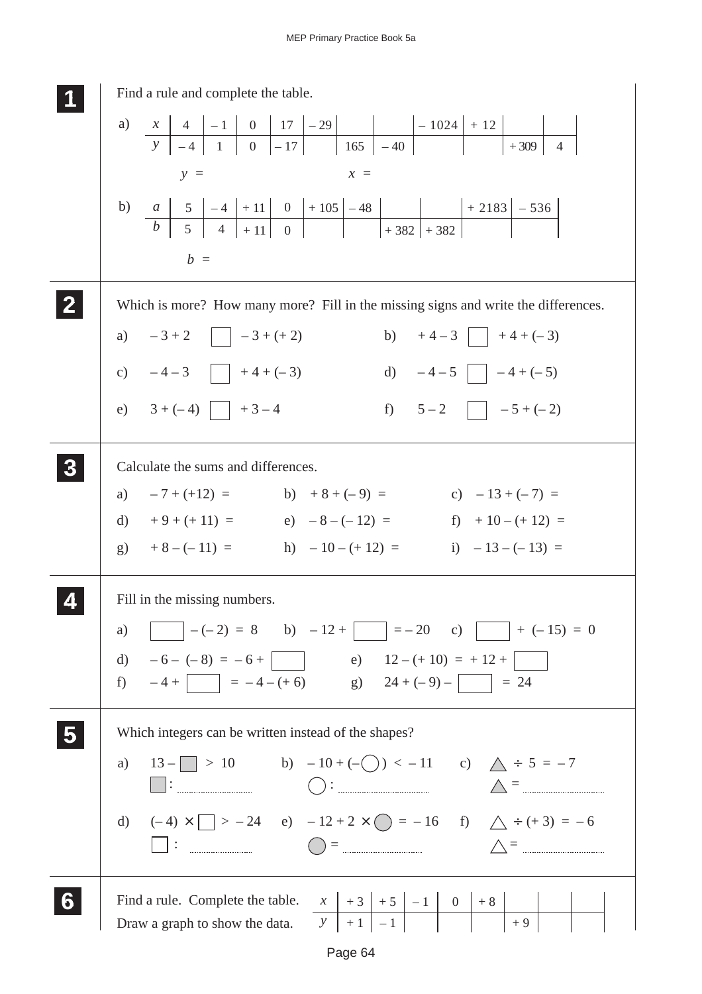| Find a rule and complete the table.                                                                                                                                                                                                                                                                                                                 |
|-----------------------------------------------------------------------------------------------------------------------------------------------------------------------------------------------------------------------------------------------------------------------------------------------------------------------------------------------------|
|                                                                                                                                                                                                                                                                                                                                                     |
| $y =$<br>$x =$                                                                                                                                                                                                                                                                                                                                      |
| b) $\begin{array}{ c c c c c c c c c } \hline b & a & 5 & -4 & +11 & 0 & +105 & -48 & + & 2183 & -536 \ \hline b & 5 & 4 & +11 & 0 & & +382 & +382 & \hline \end{array}$                                                                                                                                                                            |
| $b =$                                                                                                                                                                                                                                                                                                                                               |
| Which is more? How many more? Fill in the missing signs and write the differences.                                                                                                                                                                                                                                                                  |
| a) $-3+2$ $-3+(+2)$                                                                                                                                                                                                                                                                                                                                 |
| b) $+4-3$ $+4+(-3)$<br>d) $-4-5$ $-4+(-5)$<br>c) $-4-3$ $+4+(-3)$                                                                                                                                                                                                                                                                                   |
| f) $5-2$ $-5+(-2)$<br>e) $3 + (-4)$ $+3-4$                                                                                                                                                                                                                                                                                                          |
| Calculate the sums and differences.                                                                                                                                                                                                                                                                                                                 |
| a) $-7 + (+12) =$ b) $+8 + (-9) =$ c) $-13 + (-7) =$                                                                                                                                                                                                                                                                                                |
| d) $+9+(+11) =$<br>e) $-8-(-12) =$<br>f) $+10-(+12) =$                                                                                                                                                                                                                                                                                              |
| g) $+8-(-11) =$ h) $-10-(+12) =$ i) $-13-(-13) =$                                                                                                                                                                                                                                                                                                   |
| Fill in the missing numbers.                                                                                                                                                                                                                                                                                                                        |
| a) $-(-2) = 8$ b) $-12 + (-15) = 0$                                                                                                                                                                                                                                                                                                                 |
| d) $-6 - (-8) = -6 + \boxed{\phantom{0}}$ e) $12 - (+10) = +12 + \boxed{\phantom{0}}$                                                                                                                                                                                                                                                               |
| f) $-4 + \boxed{\phantom{0}} = -4 - (+6)$ g) $24 + (-9) - \boxed{\phantom{0}} = 24$                                                                                                                                                                                                                                                                 |
| Which integers can be written instead of the shapes?                                                                                                                                                                                                                                                                                                |
| a) $13 - 10$ b) $-10 + (-) < -11$ c) $\triangle + 5 = -7$                                                                                                                                                                                                                                                                                           |
| $\begin{picture}(180,10) \put(0,0){\line(1,0){10}} \put(10,0){\line(1,0){10}} \put(10,0){\line(1,0){10}} \put(10,0){\line(1,0){10}} \put(10,0){\line(1,0){10}} \put(10,0){\line(1,0){10}} \put(10,0){\line(1,0){10}} \put(10,0){\line(1,0){10}} \put(10,0){\line(1,0){10}} \put(10,0){\line(1,0){10}} \put(10,0){\line(1,0){10}} \put(10,0){\line($ |
| d) $(-4) \times \Box > -24$ e) $-12 + 2 \times \bigcirc = -16$ f) $\triangle \div (+3) = -6$                                                                                                                                                                                                                                                        |
| $\begin{picture}(180,10) \put(0,0){\line(1,0){10}} \put(10,0){\line(1,0){10}} \put(10,0){\line(1,0){10}} \put(10,0){\line(1,0){10}} \put(10,0){\line(1,0){10}} \put(10,0){\line(1,0){10}} \put(10,0){\line(1,0){10}} \put(10,0){\line(1,0){10}} \put(10,0){\line(1,0){10}} \put(10,0){\line(1,0){10}} \put(10,0){\line(1,0){10}} \put(10,0){\line($ |
|                                                                                                                                                                                                                                                                                                                                                     |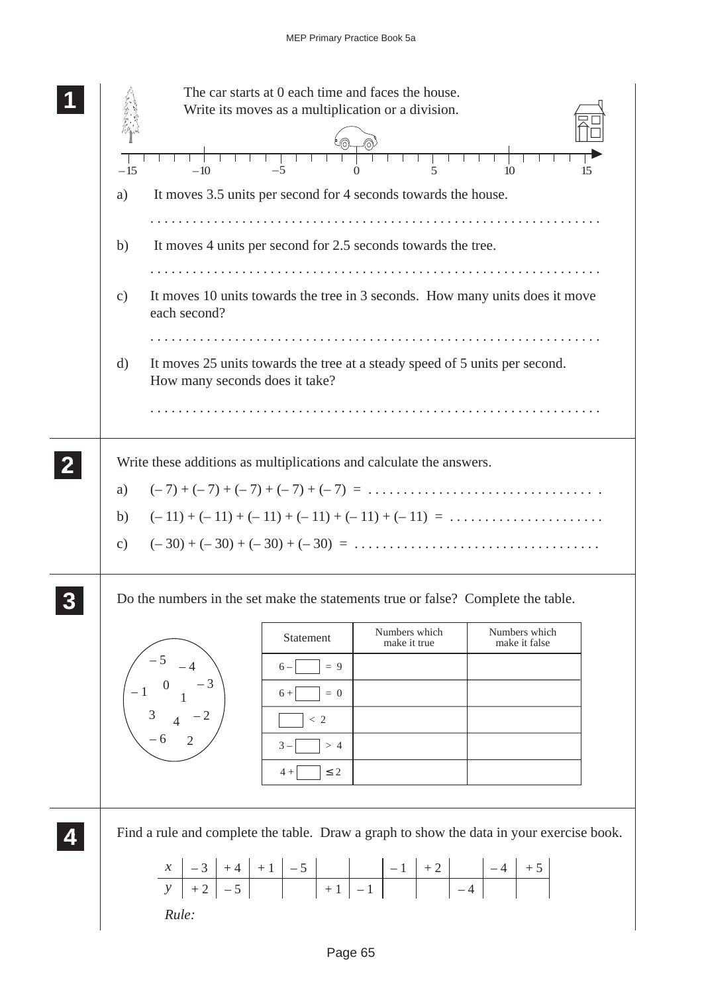| The car starts at 0 each time and faces the house.<br>Write its moves as a multiplication or a division.<br>$-10$<br>5<br>$-15$<br>$-5$<br>10<br>15<br>$\Omega$                                                                                                                                                                   |
|-----------------------------------------------------------------------------------------------------------------------------------------------------------------------------------------------------------------------------------------------------------------------------------------------------------------------------------|
| It moves 3.5 units per second for 4 seconds towards the house.<br>a)                                                                                                                                                                                                                                                              |
| It moves 4 units per second for 2.5 seconds towards the tree.<br>b)                                                                                                                                                                                                                                                               |
| It moves 10 units towards the tree in 3 seconds. How many units does it move<br>$\mathbf{c})$<br>each second?                                                                                                                                                                                                                     |
| It moves 25 units towards the tree at a steady speed of 5 units per second.<br>d)<br>How many seconds does it take?                                                                                                                                                                                                               |
| Write these additions as multiplications and calculate the answers.<br>$(-7) + (-7) + (-7) + (-7) + (-7) = \ldots \ldots \ldots \ldots \ldots \ldots \ldots \ldots \ldots$<br>a)<br>$(-11) + (-11) + (-11) + (-11) + (-11) + (-11) = \dots \dots \dots \dots \dots$<br>b)<br>$\mathbf{c})$                                        |
| Do the numbers in the set make the statements true or false? Complete the table.<br>Numbers which<br>Numbers which<br>Statement<br>make it true<br>make it false<br>$\begin{pmatrix} 3 & -4 \\ -1 & 0 & -3 \\ 3 & 4 & -2 \\ -6 & 2 \end{pmatrix}$<br>$6-$<br>$= 9$<br>$6 +$<br>$= 0$<br>$<\,2$<br>$3 -$<br>>4<br>$\leq 2$<br>$4+$ |
| Find a rule and complete the table. Draw a graph to show the data in your exercise book.<br>Rule:                                                                                                                                                                                                                                 |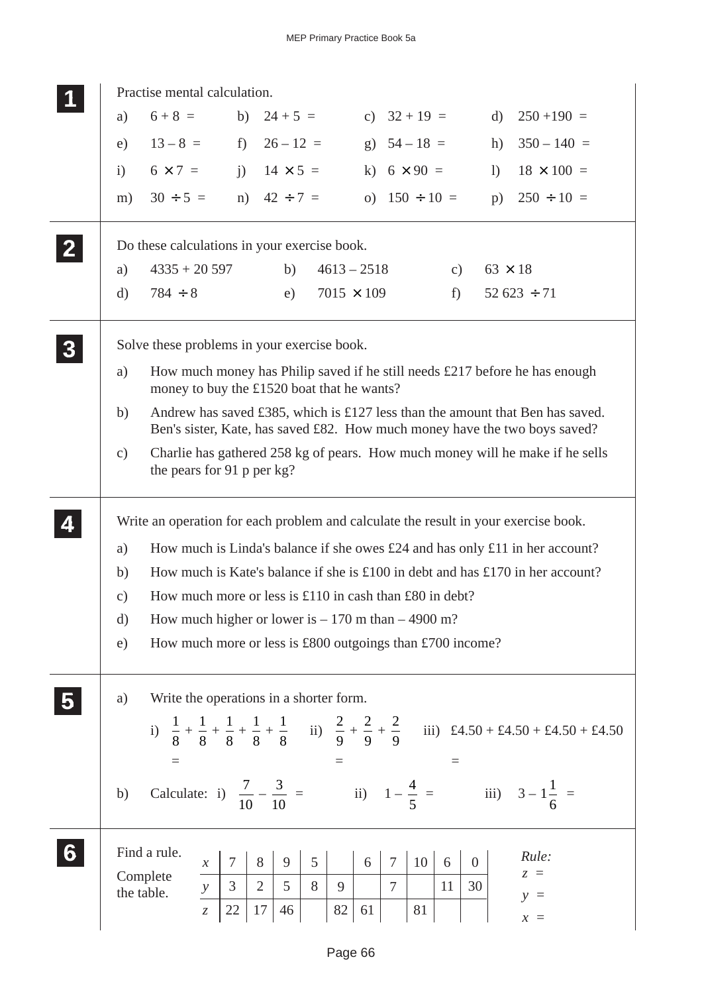|                  |               | Practise mental calculation.                                                        |                 |                                                                                                                           |                   |         |                                                   |         |                                   |                                                                                                                                                             |  |
|------------------|---------------|-------------------------------------------------------------------------------------|-----------------|---------------------------------------------------------------------------------------------------------------------------|-------------------|---------|---------------------------------------------------|---------|-----------------------------------|-------------------------------------------------------------------------------------------------------------------------------------------------------------|--|
|                  | a)            | $6 + 8 =$                                                                           |                 |                                                                                                                           | b) $24 + 5 =$     |         | c) $32 + 19 =$                                    |         | $\rm d)$                          | $250 + 190 =$                                                                                                                                               |  |
|                  | e)            | $13-8 =$ f) $26-12 =$                                                               |                 |                                                                                                                           |                   |         | g) $54 - 18 =$                                    |         | h)                                | $350 - 140 =$                                                                                                                                               |  |
|                  | i)            | $6 \times 7 =$ j) $14 \times 5 =$                                                   |                 |                                                                                                                           |                   |         | k) $6 \times 90 =$                                |         | 1)                                | $18 \times 100 =$                                                                                                                                           |  |
|                  | m)            | $30 \div 5 =$ n) $42 \div 7 =$                                                      |                 |                                                                                                                           |                   |         | o) $150 \div 10 =$                                |         |                                   | p) $250 \div 10 =$                                                                                                                                          |  |
|                  |               | Do these calculations in your exercise book.                                        |                 |                                                                                                                           |                   |         |                                                   |         |                                   |                                                                                                                                                             |  |
|                  | a)            | $4335 + 20597$                                                                      |                 | b)                                                                                                                        | $4613 - 2518$     |         |                                                   | c)      | $63 \times 18$                    |                                                                                                                                                             |  |
|                  | d)            | $784 \div 8$                                                                        |                 | e)                                                                                                                        | $7015 \times 109$ |         |                                                   | f       |                                   | $52623 \div 71$                                                                                                                                             |  |
| $\boldsymbol{3}$ |               | Solve these problems in your exercise book.                                         |                 |                                                                                                                           |                   |         |                                                   |         |                                   |                                                                                                                                                             |  |
|                  | a)            | money to buy the £1520 boat that he wants?                                          |                 |                                                                                                                           |                   |         |                                                   |         |                                   | How much money has Philip saved if he still needs $£217$ before he has enough                                                                               |  |
|                  | b)            |                                                                                     |                 |                                                                                                                           |                   |         |                                                   |         |                                   | Andrew has saved £385, which is £127 less than the amount that Ben has saved.<br>Ben's sister, Kate, has saved £82. How much money have the two boys saved? |  |
|                  | $\mathbf{c})$ | the pears for 91 p per kg?                                                          |                 |                                                                                                                           |                   |         |                                                   |         |                                   | Charlie has gathered 258 kg of pears. How much money will he make if he sells                                                                               |  |
|                  |               | Write an operation for each problem and calculate the result in your exercise book. |                 |                                                                                                                           |                   |         |                                                   |         |                                   |                                                                                                                                                             |  |
|                  | a)            |                                                                                     |                 |                                                                                                                           |                   |         |                                                   |         |                                   | How much is Linda's balance if she owes $\pounds24$ and has only $\pounds11$ in her account?                                                                |  |
|                  | b)            |                                                                                     |                 |                                                                                                                           |                   |         |                                                   |         |                                   | How much is Kate's balance if she is £100 in debt and has £170 in her account?                                                                              |  |
|                  | $\mathbf{c})$ | How much more or less is £110 in cash than £80 in debt?                             |                 |                                                                                                                           |                   |         |                                                   |         |                                   |                                                                                                                                                             |  |
|                  | $\rm d)$      | How much higher or lower is $-170$ m than $-4900$ m?                                |                 |                                                                                                                           |                   |         |                                                   |         |                                   |                                                                                                                                                             |  |
|                  | e)            | How much more or less is £800 outgoings than £700 income?                           |                 |                                                                                                                           |                   |         |                                                   |         |                                   |                                                                                                                                                             |  |
|                  | a)            | Write the operations in a shorter form.                                             |                 |                                                                                                                           |                   |         |                                                   |         |                                   |                                                                                                                                                             |  |
|                  |               |                                                                                     |                 |                                                                                                                           |                   |         |                                                   |         |                                   | i) $\frac{1}{8} + \frac{1}{8} + \frac{1}{8} + \frac{1}{8} + \frac{1}{8}$ ii) $\frac{2}{9} + \frac{2}{9} + \frac{2}{9}$ iii) £4.50 + £4.50 + £4.50 + £4.50   |  |
|                  | b)            |                                                                                     |                 |                                                                                                                           |                   |         |                                                   |         |                                   |                                                                                                                                                             |  |
| 6                |               | Find a rule.<br>Complete<br>the table.                                              | $1\overline{7}$ | $\begin{array}{c c c c c c c c c} x & 7 & 8 & 9 & 5 \\ \hline y & 3 & 2 & 5 & 8 \\ \hline z & 22 & 17 & 46 & \end{array}$ | -9<br>82          | 6<br>61 | 10 <sup>1</sup><br>$\tau$<br>$\overline{7}$<br>81 | 6<br>11 | $\overline{0}$<br>$\overline{30}$ | Rule:<br>$z =$<br>$y =$<br>$x =$                                                                                                                            |  |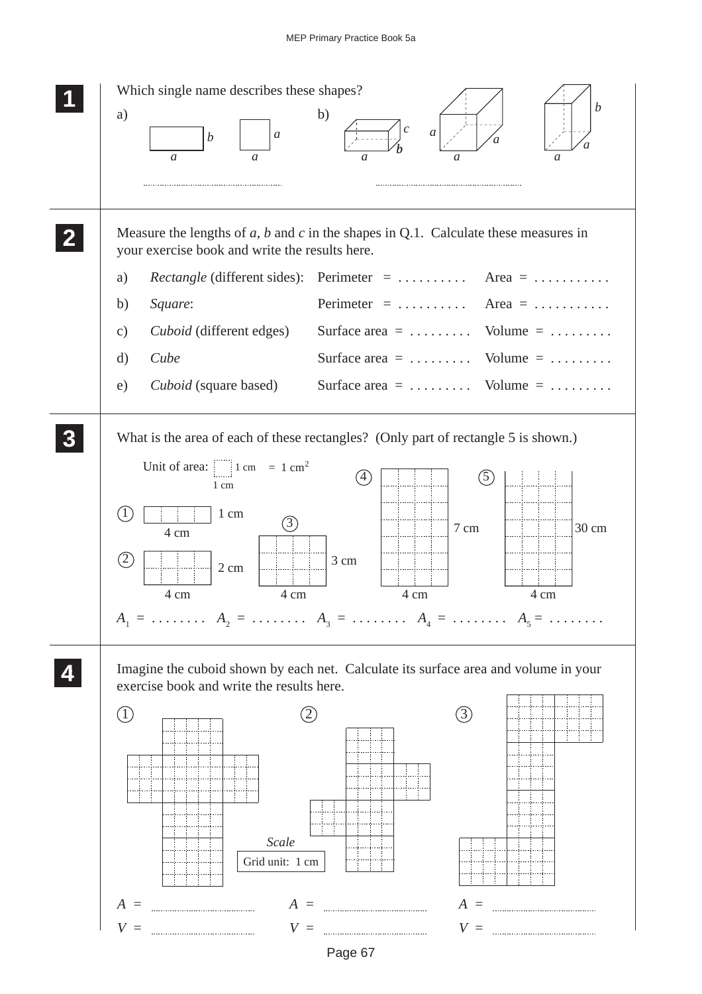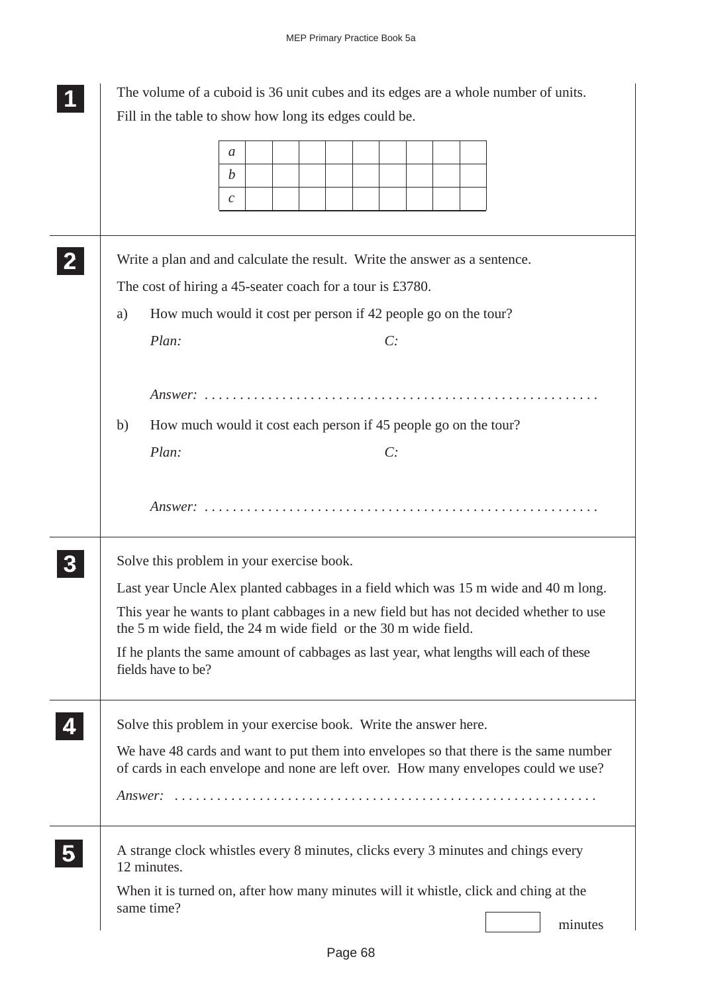|              | The volume of a cuboid is 36 unit cubes and its edges are a whole number of units.                                                                                          |
|--------------|-----------------------------------------------------------------------------------------------------------------------------------------------------------------------------|
|              | Fill in the table to show how long its edges could be.                                                                                                                      |
|              | a<br>$\boldsymbol{b}$<br>$\mathcal{C}$                                                                                                                                      |
| $\mathbf{2}$ | Write a plan and and calculate the result. Write the answer as a sentence.<br>The cost of hiring a 45-seater coach for a tour is £3780.                                     |
|              | How much would it cost per person if 42 people go on the tour?<br>a)                                                                                                        |
|              | Plan:<br>C:                                                                                                                                                                 |
|              | How much would it cost each person if 45 people go on the tour?<br>b)                                                                                                       |
|              | Plan:<br>C:                                                                                                                                                                 |
|              | Solve this problem in your exercise book.                                                                                                                                   |
|              | Last year Uncle Alex planted cabbages in a field which was 15 m wide and 40 m long.                                                                                         |
|              | This year he wants to plant cabbages in a new field but has not decided whether to use<br>the 5 m wide field, the 24 m wide field or the 30 m wide field.                   |
|              | If he plants the same amount of cabbages as last year, what lengths will each of these<br>fields have to be?                                                                |
|              | Solve this problem in your exercise book. Write the answer here.                                                                                                            |
|              | We have 48 cards and want to put them into envelopes so that there is the same number<br>of cards in each envelope and none are left over. How many envelopes could we use? |
|              |                                                                                                                                                                             |
| 5            | A strange clock whistles every 8 minutes, clicks every 3 minutes and chings every<br>12 minutes.                                                                            |
|              | When it is turned on, after how many minutes will it whistle, click and ching at the<br>same time?<br>minutes                                                               |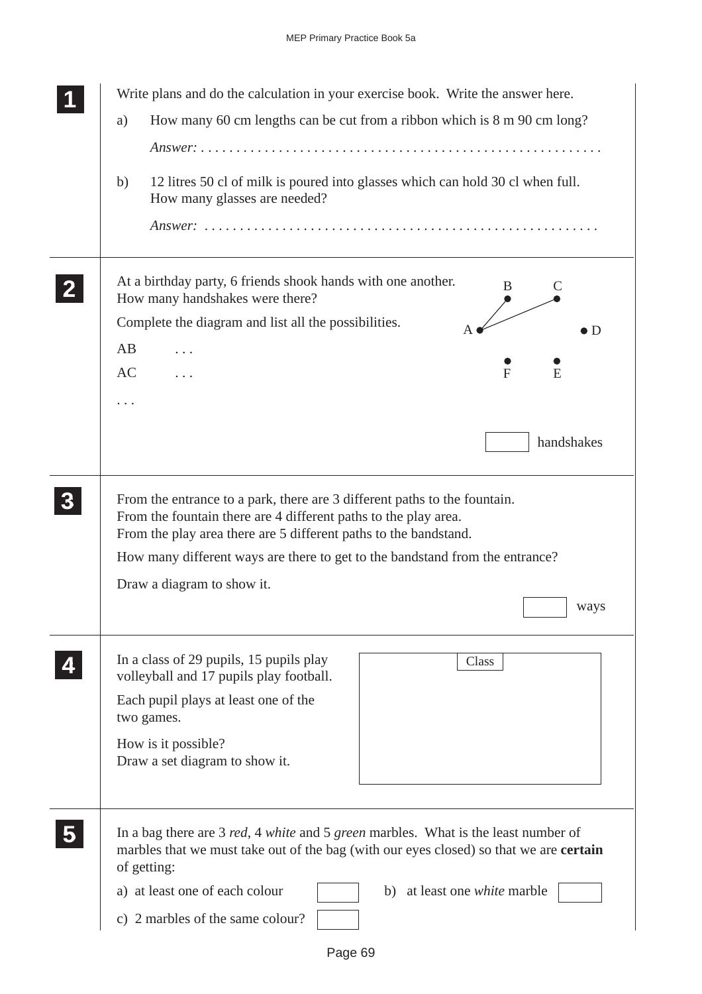|                | Write plans and do the calculation in your exercise book. Write the answer here.                                                                                                                                 |
|----------------|------------------------------------------------------------------------------------------------------------------------------------------------------------------------------------------------------------------|
|                | How many 60 cm lengths can be cut from a ribbon which is 8 m 90 cm long?<br>a)                                                                                                                                   |
|                |                                                                                                                                                                                                                  |
|                | 12 litres 50 cl of milk is poured into glasses which can hold 30 cl when full.<br>b)<br>How many glasses are needed?                                                                                             |
|                |                                                                                                                                                                                                                  |
|                | At a birthday party, 6 friends shook hands with one another.<br>В<br>How many handshakes were there?                                                                                                             |
|                | Complete the diagram and list all the possibilities.<br>$\bullet$ D                                                                                                                                              |
|                | AB<br>.                                                                                                                                                                                                          |
|                | AC<br>F<br>E                                                                                                                                                                                                     |
|                | .                                                                                                                                                                                                                |
|                |                                                                                                                                                                                                                  |
|                | handshakes                                                                                                                                                                                                       |
|                |                                                                                                                                                                                                                  |
| 3 <sup>1</sup> | From the entrance to a park, there are 3 different paths to the fountain.<br>From the fountain there are 4 different paths to the play area.<br>From the play area there are 5 different paths to the bandstand. |
|                | How many different ways are there to get to the bandstand from the entrance?                                                                                                                                     |
|                | Draw a diagram to show it.                                                                                                                                                                                       |
|                | ways                                                                                                                                                                                                             |
|                |                                                                                                                                                                                                                  |
|                | In a class of 29 pupils, 15 pupils play<br>Class<br>volleyball and 17 pupils play football.                                                                                                                      |
|                | Each pupil plays at least one of the<br>two games.                                                                                                                                                               |
|                | How is it possible?<br>Draw a set diagram to show it.                                                                                                                                                            |
|                |                                                                                                                                                                                                                  |
|                | In a bag there are 3 red, 4 white and 5 green marbles. What is the least number of<br>marbles that we must take out of the bag (with our eyes closed) so that we are <b>certain</b><br>of getting:               |
|                | a) at least one of each colour<br>b) at least one <i>white</i> marble                                                                                                                                            |
|                | c) 2 marbles of the same colour?                                                                                                                                                                                 |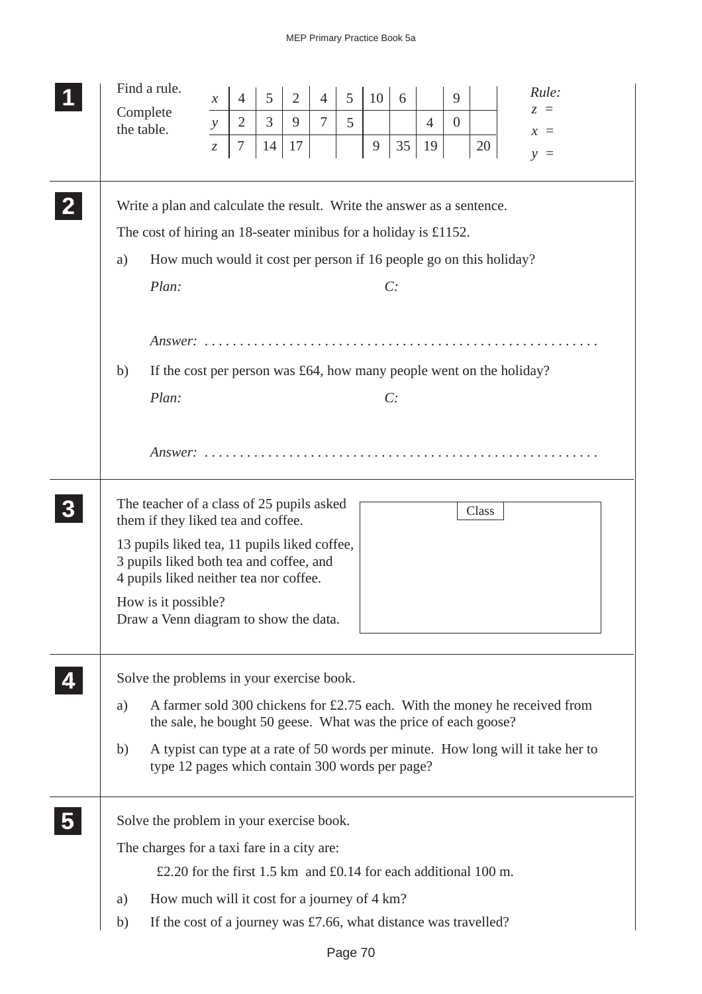| Find a rule.                                                                            | $\mathcal{X}$                 | $\overline{4}$ | 5              | $\overline{2}$ | $\overline{4}$ | 5 | 10           | 6  |                | 9              |       | Rule:                                                                            |
|-----------------------------------------------------------------------------------------|-------------------------------|----------------|----------------|----------------|----------------|---|--------------|----|----------------|----------------|-------|----------------------------------------------------------------------------------|
| Complete                                                                                |                               | $\overline{2}$ | $\overline{3}$ | 9              | $\tau$         | 5 |              |    | $\overline{4}$ | $\overline{0}$ |       | $z =$                                                                            |
| the table.                                                                              | $\mathcal{Y}$                 |                |                |                |                |   |              |    |                |                |       | $x =$                                                                            |
|                                                                                         | $\ensuremath{\mathnormal{Z}}$ | 7              | 14             | 17             |                |   | $\mathbf{9}$ | 35 | 19             |                | 20    | $v =$                                                                            |
|                                                                                         |                               |                |                |                |                |   |              |    |                |                |       |                                                                                  |
| Write a plan and calculate the result. Write the answer as a sentence.                  |                               |                |                |                |                |   |              |    |                |                |       |                                                                                  |
| The cost of hiring an 18-seater minibus for a holiday is £1152.                         |                               |                |                |                |                |   |              |    |                |                |       |                                                                                  |
| How much would it cost per person if 16 people go on this holiday?<br>a)                |                               |                |                |                |                |   |              |    |                |                |       |                                                                                  |
| Plan:                                                                                   |                               |                |                |                |                |   |              | C: |                |                |       |                                                                                  |
|                                                                                         |                               |                |                |                |                |   |              |    |                |                |       |                                                                                  |
|                                                                                         |                               |                |                |                |                |   |              |    |                |                |       |                                                                                  |
|                                                                                         |                               |                |                |                |                |   |              |    |                |                |       |                                                                                  |
| If the cost per person was $£64$ , how many people went on the holiday?<br>b)           |                               |                |                |                |                |   |              |    |                |                |       |                                                                                  |
| Plan:                                                                                   |                               |                |                |                |                |   |              | C: |                |                |       |                                                                                  |
|                                                                                         |                               |                |                |                |                |   |              |    |                |                |       |                                                                                  |
|                                                                                         |                               |                |                |                |                |   |              |    |                |                |       |                                                                                  |
|                                                                                         |                               |                |                |                |                |   |              |    |                |                |       |                                                                                  |
| The teacher of a class of 25 pupils asked                                               |                               |                |                |                |                |   |              |    |                |                | Class |                                                                                  |
| them if they liked tea and coffee.                                                      |                               |                |                |                |                |   |              |    |                |                |       |                                                                                  |
| 13 pupils liked tea, 11 pupils liked coffee,<br>3 pupils liked both tea and coffee, and |                               |                |                |                |                |   |              |    |                |                |       |                                                                                  |
| 4 pupils liked neither tea nor coffee.                                                  |                               |                |                |                |                |   |              |    |                |                |       |                                                                                  |
| How is it possible?                                                                     |                               |                |                |                |                |   |              |    |                |                |       |                                                                                  |
| Draw a Venn diagram to show the data.                                                   |                               |                |                |                |                |   |              |    |                |                |       |                                                                                  |
|                                                                                         |                               |                |                |                |                |   |              |    |                |                |       |                                                                                  |
| Solve the problems in your exercise book.                                               |                               |                |                |                |                |   |              |    |                |                |       |                                                                                  |
| a)                                                                                      |                               |                |                |                |                |   |              |    |                |                |       | A farmer sold 300 chickens for £2.75 each. With the money he received from       |
| the sale, he bought 50 geese. What was the price of each goose?                         |                               |                |                |                |                |   |              |    |                |                |       |                                                                                  |
| b)                                                                                      |                               |                |                |                |                |   |              |    |                |                |       | A typist can type at a rate of 50 words per minute. How long will it take her to |
| type 12 pages which contain 300 words per page?                                         |                               |                |                |                |                |   |              |    |                |                |       |                                                                                  |
|                                                                                         |                               |                |                |                |                |   |              |    |                |                |       |                                                                                  |
| Solve the problem in your exercise book.                                                |                               |                |                |                |                |   |              |    |                |                |       |                                                                                  |
| The charges for a taxi fare in a city are:                                              |                               |                |                |                |                |   |              |    |                |                |       |                                                                                  |
| £2.20 for the first 1.5 km and £0.14 for each additional 100 m.                         |                               |                |                |                |                |   |              |    |                |                |       |                                                                                  |
| How much will it cost for a journey of 4 km?<br>a)                                      |                               |                |                |                |                |   |              |    |                |                |       |                                                                                  |
| If the cost of a journey was £7.66, what distance was travelled?<br>b)                  |                               |                |                |                |                |   |              |    |                |                |       |                                                                                  |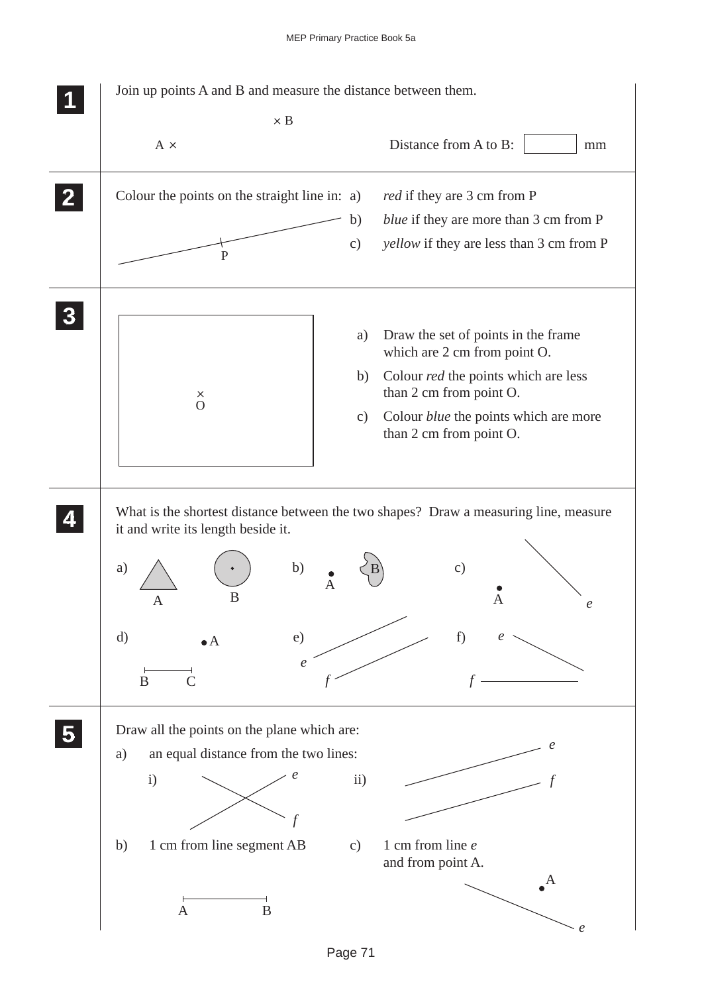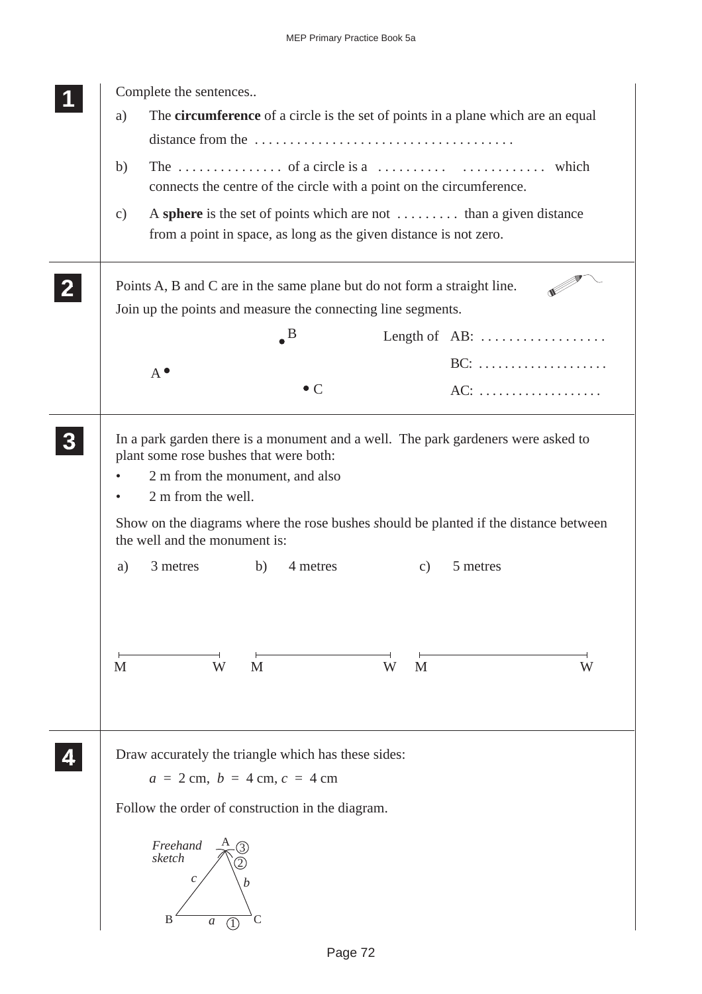| a)            |                               | The circumference of a circle is the set of points in a plane which are an equal                                                        |   |                           |                                                |
|---------------|-------------------------------|-----------------------------------------------------------------------------------------------------------------------------------------|---|---------------------------|------------------------------------------------|
|               |                               |                                                                                                                                         |   |                           |                                                |
| b)            |                               | connects the centre of the circle with a point on the circumference.                                                                    |   |                           |                                                |
| $\mathbf{c})$ |                               | A sphere is the set of points which are not  than a given distance<br>from a point in space, as long as the given distance is not zero. |   |                           |                                                |
|               |                               | Points A, B and C are in the same plane but do not form a straight line.                                                                |   |                           |                                                |
|               |                               | Join up the points and measure the connecting line segments.                                                                            |   |                           |                                                |
|               |                               | $\bullet^{\text{B}}$                                                                                                                    |   |                           | Length of AB: $\dots\dots\dots\dots\dots\dots$ |
|               | $A^{\bullet}$                 |                                                                                                                                         |   |                           |                                                |
|               |                               | $\bullet$ C                                                                                                                             |   |                           | AC:                                            |
|               | the well and the monument is: | Show on the diagrams where the rose bushes should be planted if the distance between                                                    |   |                           |                                                |
| a)            | 3 metres                      | 4 metres<br>b)                                                                                                                          |   | 5 metres<br>$\mathbf{c})$ |                                                |
|               |                               |                                                                                                                                         |   |                           |                                                |
| $\mathbf{M}$  | W                             | M                                                                                                                                       | W | M                         | W                                              |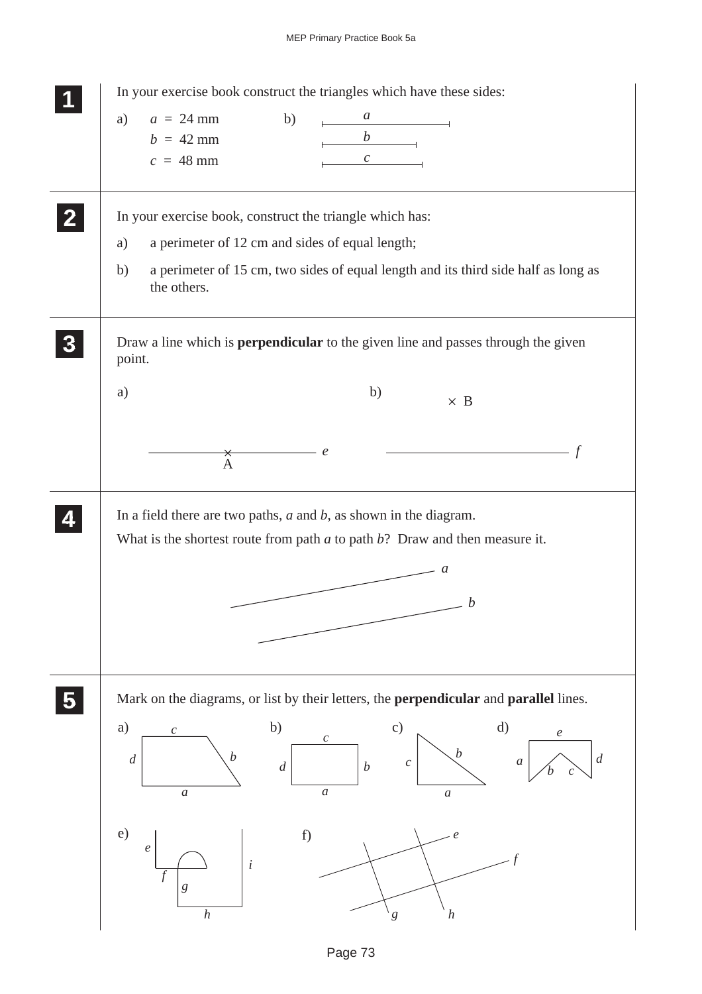## MEP Primary Practice Book 5a

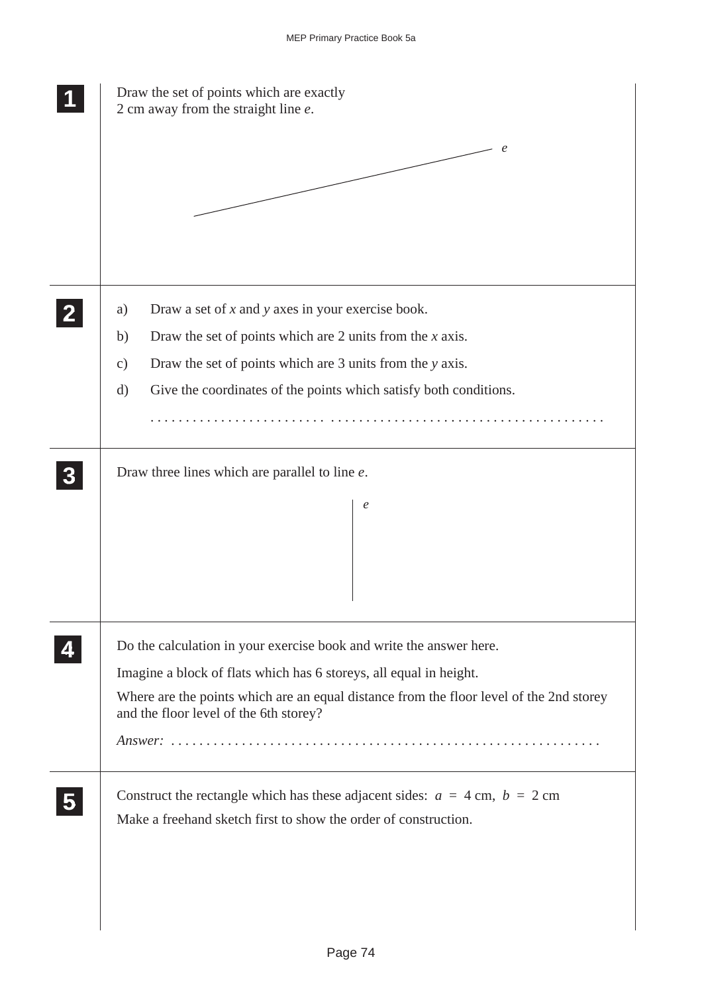| Draw the set of points which are exactly<br>2 cm away from the straight line $e$ .                                                                |  |  |  |  |
|---------------------------------------------------------------------------------------------------------------------------------------------------|--|--|--|--|
| e                                                                                                                                                 |  |  |  |  |
| Draw a set of $x$ and $y$ axes in your exercise book.<br>a)                                                                                       |  |  |  |  |
| Draw the set of points which are 2 units from the $x$ axis.<br>b)                                                                                 |  |  |  |  |
| Draw the set of points which are 3 units from the y axis.<br>$\mathbf{c})$                                                                        |  |  |  |  |
| Give the coordinates of the points which satisfy both conditions.<br>$\mathbf{d}$                                                                 |  |  |  |  |
|                                                                                                                                                   |  |  |  |  |
| Draw three lines which are parallel to line e.<br>$\epsilon$                                                                                      |  |  |  |  |
|                                                                                                                                                   |  |  |  |  |
| Do the calculation in your exercise book and write the answer here.                                                                               |  |  |  |  |
| Imagine a block of flats which has 6 storeys, all equal in height.                                                                                |  |  |  |  |
| Where are the points which are an equal distance from the floor level of the 2nd storey<br>and the floor level of the 6th storey?                 |  |  |  |  |
|                                                                                                                                                   |  |  |  |  |
| Construct the rectangle which has these adjacent sides: $a = 4$ cm, $b = 2$ cm<br>Make a freehand sketch first to show the order of construction. |  |  |  |  |
|                                                                                                                                                   |  |  |  |  |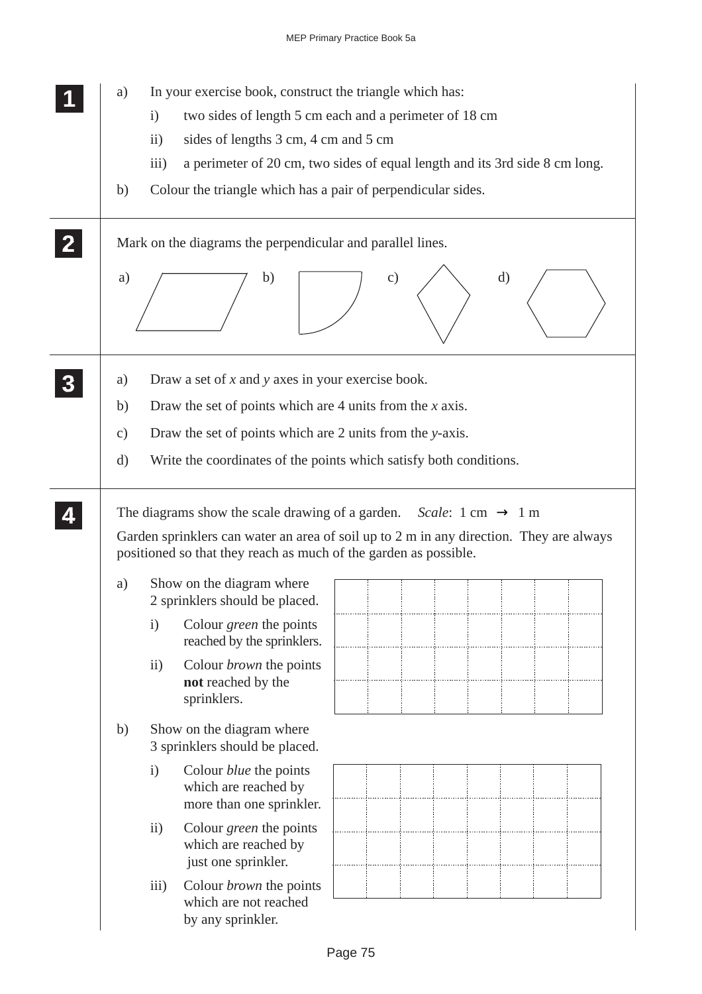| a)            | In your exercise book, construct the triangle which has:                                                                    |  |  |  |  |  |
|---------------|-----------------------------------------------------------------------------------------------------------------------------|--|--|--|--|--|
|               | two sides of length 5 cm each and a perimeter of 18 cm<br>$\mathbf{i}$<br>sides of lengths 3 cm, 4 cm and 5 cm<br>$\rm ii)$ |  |  |  |  |  |
|               |                                                                                                                             |  |  |  |  |  |
|               | iii)<br>a perimeter of 20 cm, two sides of equal length and its 3rd side 8 cm long.                                         |  |  |  |  |  |
| b)            | Colour the triangle which has a pair of perpendicular sides.                                                                |  |  |  |  |  |
|               | Mark on the diagrams the perpendicular and parallel lines.                                                                  |  |  |  |  |  |
| a)            | $\rm d)$<br>$\mathbf{c})$<br>b)                                                                                             |  |  |  |  |  |
| a)            | Draw a set of $x$ and $y$ axes in your exercise book.                                                                       |  |  |  |  |  |
| b)            | Draw the set of points which are 4 units from the $x$ axis.                                                                 |  |  |  |  |  |
| $\mathbf{c})$ | Draw the set of points which are 2 units from the y-axis.                                                                   |  |  |  |  |  |
| $\rm d)$      | Write the coordinates of the points which satisfy both conditions.                                                          |  |  |  |  |  |
| a)            | positioned so that they reach as much of the garden as possible.<br>Show on the diagram where                               |  |  |  |  |  |
| $\mathbf{i}$  | 2 sprinklers should be placed.<br>Colour <i>green</i> the points<br>reached by the sprinklers.                              |  |  |  |  |  |
| $\ddot{i}$    | Colour <i>brown</i> the points<br>not reached by the<br>sprinklers.                                                         |  |  |  |  |  |
| b)            | Show on the diagram where<br>3 sprinklers should be placed.                                                                 |  |  |  |  |  |
| $\mathbf{i}$  | Colour <i>blue</i> the points<br>which are reached by<br>more than one sprinkler.                                           |  |  |  |  |  |
| $\ddot{i}$    | Colour <i>green</i> the points<br>which are reached by<br>just one sprinkler.                                               |  |  |  |  |  |
|               |                                                                                                                             |  |  |  |  |  |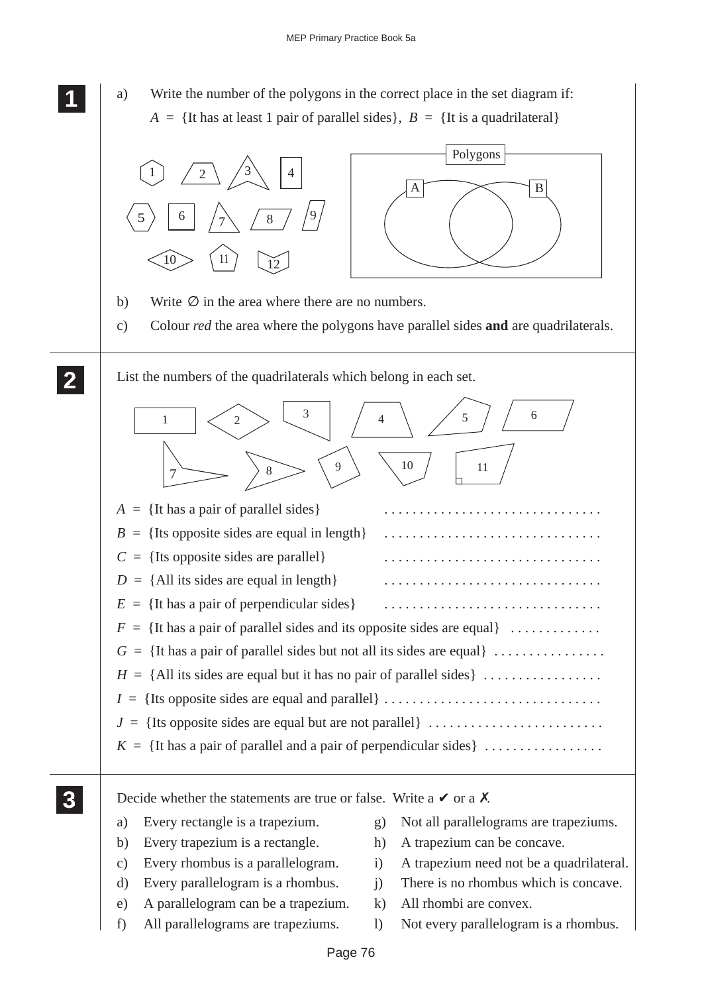**111** a) Write the number of the polygons in the correct place in the set diagram if:  $A = \{$ It has at least 1 pair of parallel sides $\}, B = \{$ It is a quadrilateral $\}$ 

**1 11**

**2 22 22**



- f) All parallelograms are trapeziums. l) Not every parallelogram is a rhombus.
	- Page 76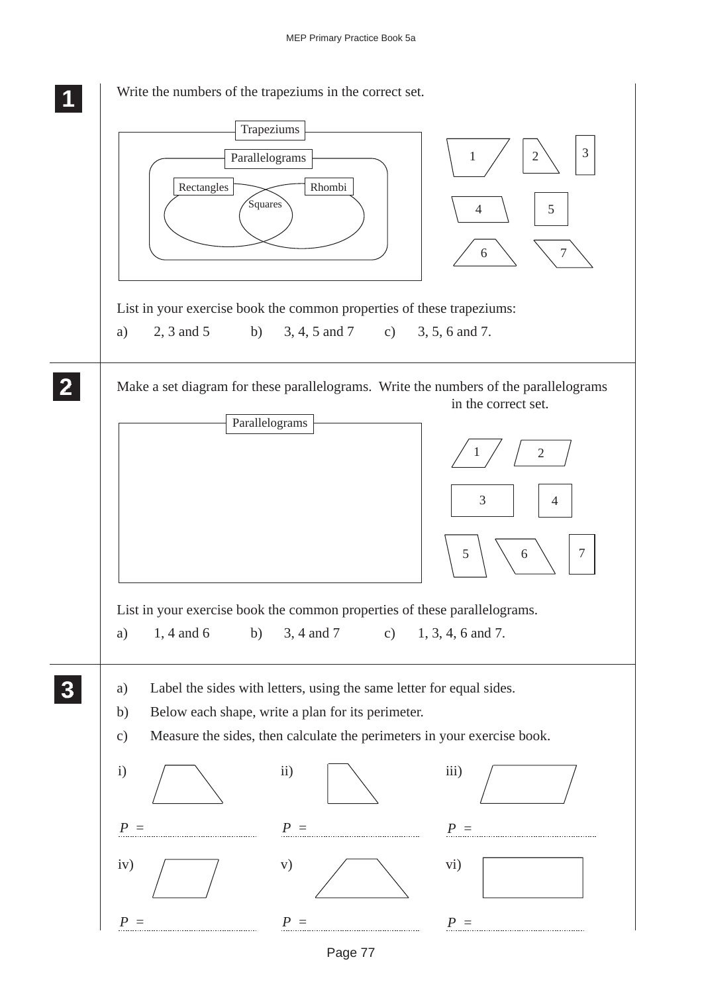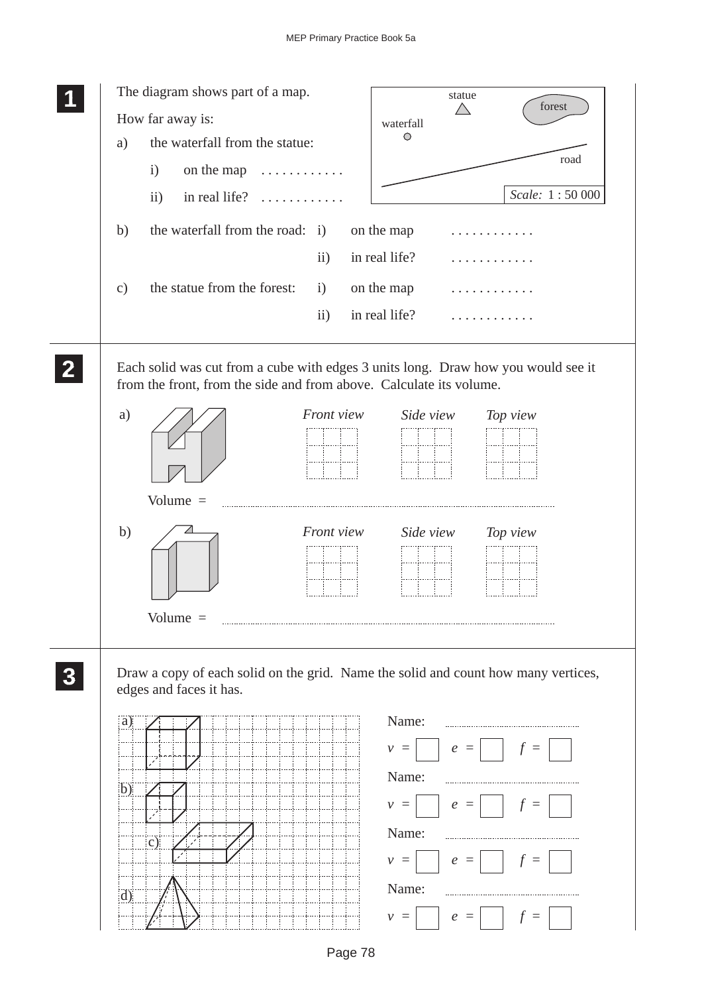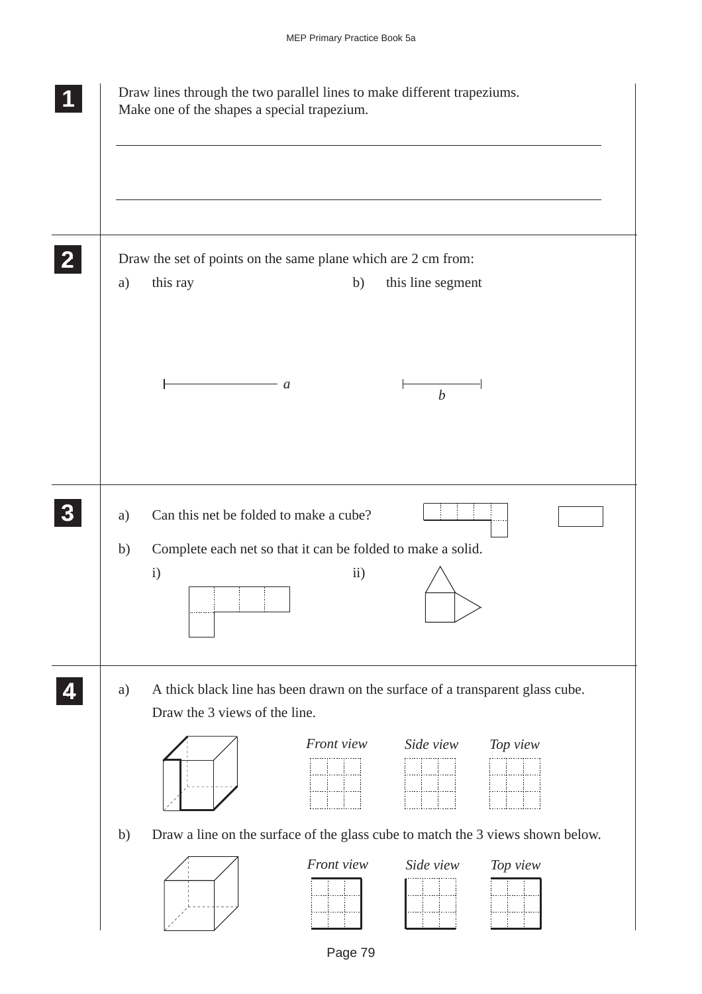|    | Draw lines through the two parallel lines to make different trapeziums.<br>Make one of the shapes a special trapezium. |
|----|------------------------------------------------------------------------------------------------------------------------|
|    |                                                                                                                        |
|    | Draw the set of points on the same plane which are 2 cm from:                                                          |
| a) | this ray<br>b)<br>this line segment                                                                                    |
|    |                                                                                                                        |
|    | a<br>$\boldsymbol{b}$                                                                                                  |
|    |                                                                                                                        |
|    |                                                                                                                        |
| a) | Can this net be folded to make a cube?                                                                                 |
| b) | Complete each net so that it can be folded to make a solid.<br>$\mathbf{i}$<br>$\overline{ii}$ )                       |
| a) | A thick black line has been drawn on the surface of a transparent glass cube.                                          |
|    | Draw the 3 views of the line.                                                                                          |
|    | Front view<br>Side view<br>Top view                                                                                    |
| b) | Draw a line on the surface of the glass cube to match the 3 views shown below.                                         |
|    | Front view<br>Top view<br>Side view                                                                                    |